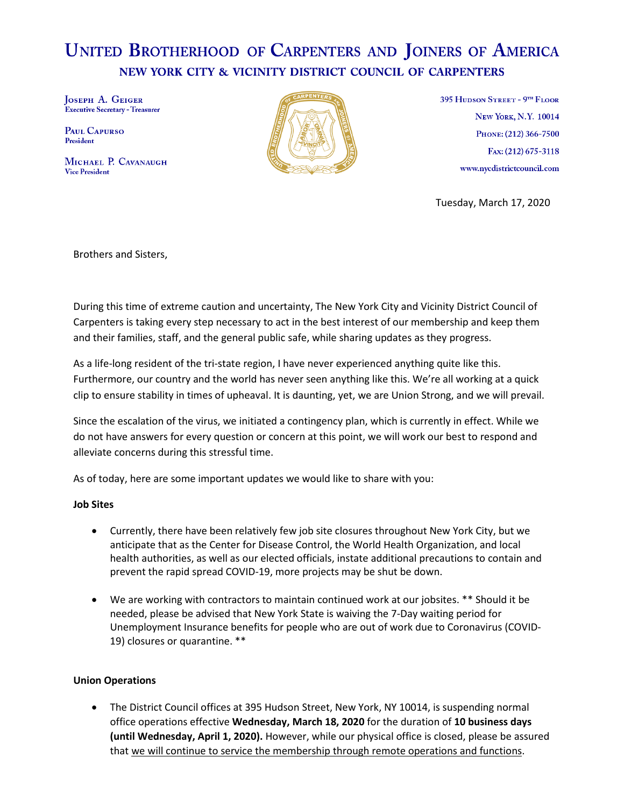# **UNITED BROTHERHOOD OF CARPENTERS AND JOINERS OF AMERICA** NEW YORK CITY & VICINITY DISTRICT COUNCIL OF CARPENTERS

JOSEPH A. GEIGER **Executive Secretary - Treasurer** 

PAUL CAPURSO President

MICHAEL P. CAVANAUGH **Vice President** 



395 HUDSON STREET - 9TH FLOOR **NEW YORK, N.Y. 10014** PHONE: (212) 366-7500 Fax: (212) 675-3118 www.nycdistrictcouncil.com

Tuesday, March 17, 2020

Brothers and Sisters,

During this time of extreme caution and uncertainty, The New York City and Vicinity District Council of Carpenters is taking every step necessary to act in the best interest of our membership and keep them and their families, staff, and the general public safe, while sharing updates as they progress.

As a life-long resident of the tri-state region, I have never experienced anything quite like this. Furthermore, our country and the world has never seen anything like this. We're all working at a quick clip to ensure stability in times of upheaval. It is daunting, yet, we are Union Strong, and we will prevail.

Since the escalation of the virus, we initiated a contingency plan, which is currently in effect. While we do not have answers for every question or concern at this point, we will work our best to respond and alleviate concerns during this stressful time.

As of today, here are some important updates we would like to share with you:

## **Job Sites**

- Currently, there have been relatively few job site closures throughout New York City, but we anticipate that as the Center for Disease Control, the World Health Organization, and local health authorities, as well as our elected officials, instate additional precautions to contain and prevent the rapid spread COVID-19, more projects may be shut be down.
- We are working with contractors to maintain continued work at our jobsites. \*\* Should it be needed, please be advised that New York State is waiving the 7-Day waiting period for Unemployment Insurance benefits for people who are out of work due to Coronavirus (COVID-19) closures or quarantine. \*\*

## **Union Operations**

• The District Council offices at 395 Hudson Street, New York, NY 10014, is suspending normal office operations effective **Wednesday, March 18, 2020** for the duration of **10 business days (until Wednesday, April 1, 2020).** However, while our physical office is closed, please be assured that we will continue to service the membership through remote operations and functions.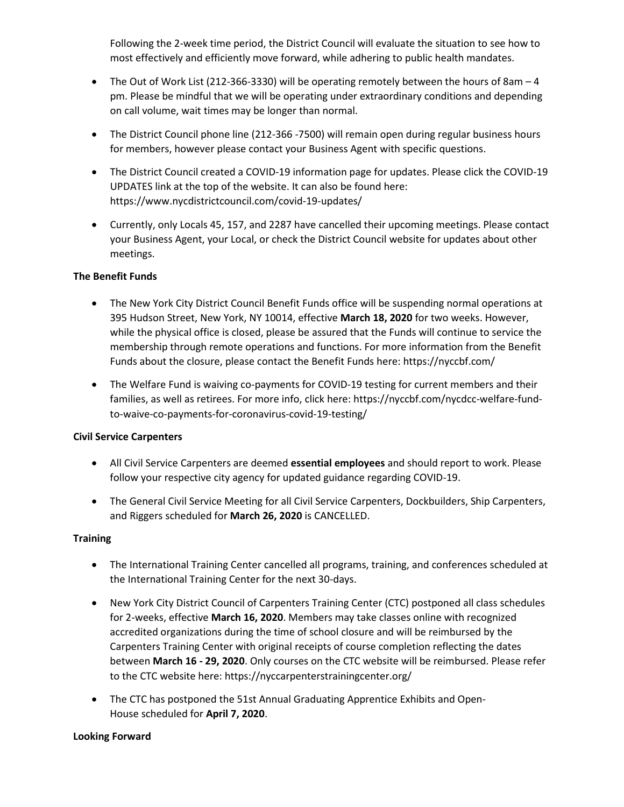Following the 2-week time period, the District Council will evaluate the situation to see how to most effectively and efficiently move forward, while adhering to public health mandates.

- The Out of Work List (212-366-3330) will be operating remotely between the hours of 8am 4 pm. Please be mindful that we will be operating under extraordinary conditions and depending on call volume, wait times may be longer than normal.
- The District Council phone line (212-366 -7500) will remain open during regular business hours for members, however please contact your Business Agent with specific questions.
- The District Council created a COVID-19 information page for updates. Please click the COVID-19 UPDATES link at the top of the website. It can also be found here: https://www.nycdistrictcouncil.com/covid-19-updates/
- Currently, only Locals 45, 157, and 2287 have cancelled their upcoming meetings. Please contact your Business Agent, your Local, or check the District Council website for updates about other meetings.

## **The Benefit Funds**

- The New York City District Council Benefit Funds office will be suspending normal operations at 395 Hudson Street, New York, NY 10014, effective **March 18, 2020** for two weeks. However, while the physical office is closed, please be assured that the Funds will continue to service the membership through remote operations and functions. For more information from the Benefit Funds about the closure, please contact the Benefit Funds here: https://nyccbf.com/
- The Welfare Fund is waiving co-payments for COVID-19 testing for current members and their families, as well as retirees. For more info, click here: https://nyccbf.com/nycdcc-welfare-fundto-waive-co-payments-for-coronavirus-covid-19-testing/

## **Civil Service Carpenters**

- All Civil Service Carpenters are deemed **essential employees** and should report to work. Please follow your respective city agency for updated guidance regarding COVID-19.
- The General Civil Service Meeting for all Civil Service Carpenters, Dockbuilders, Ship Carpenters, and Riggers scheduled for **March 26, 2020** is CANCELLED.

## **Training**

- The International Training Center cancelled all programs, training, and conferences scheduled at the International Training Center for the next 30-days.
- New York City District Council of Carpenters Training Center (CTC) postponed all class schedules for 2-weeks, effective **March 16, 2020**. Members may take classes online with recognized accredited organizations during the time of school closure and will be reimbursed by the Carpenters Training Center with original receipts of course completion reflecting the dates between **March 16 - 29, 2020**. Only courses on the CTC website will be reimbursed. Please refer to the CTC website here: https://nyccarpenterstrainingcenter.org/
- The CTC has postponed the 51st Annual Graduating Apprentice Exhibits and Open-House scheduled for **April 7, 2020**.

## **Looking Forward**